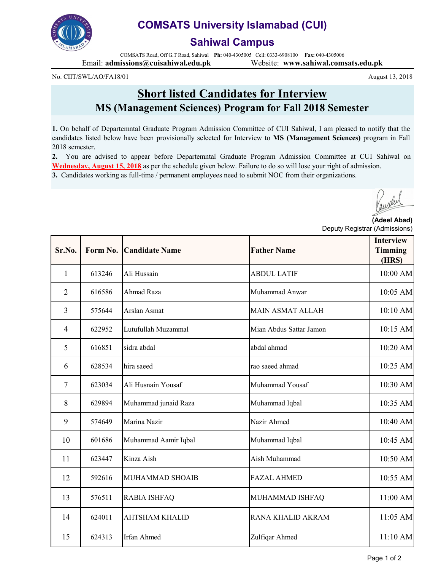

## **COMSATS University Islamabad (CUI)**

## **Sahiwal Campus**

COMSATS Road, Off G.T Road, Sahiwal **Ph:** 040-4305005 Cell: 0333-6908100 **Fax:** 040-4305006 Email: **admissions@cuisahiwal.edu.pk** Website: **www.sahiwal.comsats.edu.pk**

No. CIIT/SWL/AO/FA18/01

**Short listed Candidates for Interview MS (Management Sciences) Program for Fall 2018 Semester**

**1.** On behalf of Departemntal Graduate Program Admission Committee of CUI Sahiwal, I am pleased to notify that the candidates listed below have been provisionally selected for Interview to **MS (Management Sciences)** program in Fall 2018 semester.

**2.** You are advised to appear before Departemntal Graduate Program Admission Committee at CUI Sahiwal on **Wednesday, August 15, 2018** as per the schedule given below. Failure to do so will lose your right of admission. **3.** Candidates working as full-time / permanent employees need to submit NOC from their organizations.

**(Adeel Abad)** Deputy Registrar (Admissions)

| Sr.No.         | Form No. | <b>Candidate Name</b> | <b>Father Name</b>      | <b>Interview</b><br><b>Timming</b><br>(HRS) |
|----------------|----------|-----------------------|-------------------------|---------------------------------------------|
| $\mathbf{1}$   | 613246   | Ali Hussain           | <b>ABDUL LATIF</b>      | 10:00 AM                                    |
| $\overline{2}$ | 616586   | Ahmad Raza            | Muhammad Anwar          | 10:05 AM                                    |
| $\overline{3}$ | 575644   | Arslan Asmat          | <b>MAIN ASMAT ALLAH</b> | 10:10 AM                                    |
| $\overline{4}$ | 622952   | Lutufullah Muzammal   | Mian Abdus Sattar Jamon | 10:15 AM                                    |
| 5              | 616851   | sidra abdal           | abdal ahmad             | 10:20 AM                                    |
| 6              | 628534   | hira saeed            | rao saeed ahmad         | 10:25 AM                                    |
| $\overline{7}$ | 623034   | Ali Husnain Yousaf    | Muhammad Yousaf         | 10:30 AM                                    |
| 8              | 629894   | Muhammad junaid Raza  | Muhammad Iqbal          | 10:35 AM                                    |
| 9              | 574649   | Marina Nazir          | Nazir Ahmed             | 10:40 AM                                    |
| 10             | 601686   | Muhammad Aamir Iqbal  | Muhammad Iqbal          | 10:45 AM                                    |
| 11             | 623447   | Kinza Aish            | Aish Muhammad           | 10:50 AM                                    |
| 12             | 592616   | MUHAMMAD SHOAIB       | <b>FAZAL AHMED</b>      | 10:55 AM                                    |
| 13             | 576511   | RABIA ISHFAQ          | MUHAMMAD ISHFAQ         | 11:00 AM                                    |
| 14             | 624011   | <b>AHTSHAM KHALID</b> | RANA KHALID AKRAM       | 11:05 AM                                    |
| 15             | 624313   | Irfan Ahmed           | Zulfiqar Ahmed          | 11:10 AM                                    |

August 13, 2018